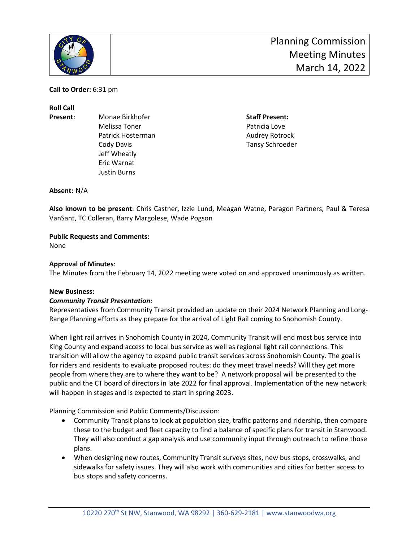

**Call to Order:** 6:31 pm

**Roll Call**

- 
- **Present:** Monae Birkhofer **Staff Present:** Monae Birkhofer **Staff Present:** Melissa Toner **Patricia** Love Patrick Hosterman **Audrey Rotrock Audrey Rotrock** Cody Davis Tansy Schroeder Jeff Wheatly Eric Warnat Justin Burns

**Absent:** N/A

**Also known to be present**: Chris Castner, Izzie Lund, Meagan Watne, Paragon Partners, Paul & Teresa VanSant, TC Colleran, Barry Margolese, Wade Pogson

# **Public Requests and Comments:**

None

## **Approval of Minutes**:

The Minutes from the February 14, 2022 meeting were voted on and approved unanimously as written.

#### **New Business:**

#### *Community Transit Presentation:*

Representatives from Community Transit provided an update on their 2024 Network Planning and Long-Range Planning efforts as they prepare for the arrival of Light Rail coming to Snohomish County.

When light rail arrives in Snohomish County in 2024, Community Transit will end most bus service into King County and expand access to local bus service as well as regional light rail connections. This transition will allow the agency to expand public transit services across Snohomish County. The goal is for riders and residents to evaluate proposed routes: do they meet travel needs? Will they get more people from where they are to where they want to be? A network proposal will be presented to the public and the CT board of directors in late 2022 for final approval. Implementation of the new network will happen in stages and is expected to start in spring 2023.

Planning Commission and Public Comments/Discussion:

- Community Transit plans to look at population size, traffic patterns and ridership, then compare these to the budget and fleet capacity to find a balance of specific plans for transit in Stanwood. They will also conduct a gap analysis and use community input through outreach to refine those plans.
- When designing new routes, Community Transit surveys sites, new bus stops, crosswalks, and sidewalks for safety issues. They will also work with communities and cities for better access to bus stops and safety concerns.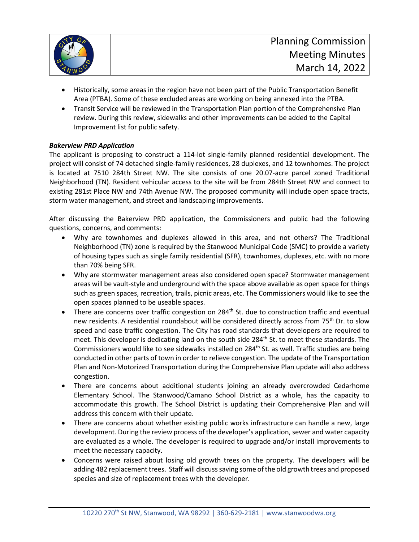

- Historically, some areas in the region have not been part of the Public Transportation Benefit Area (PTBA). Some of these excluded areas are working on being annexed into the PTBA.
- Transit Service will be reviewed in the Transportation Plan portion of the Comprehensive Plan review. During this review, sidewalks and other improvements can be added to the Capital Improvement list for public safety.

# *Bakerview PRD Application*

The applicant is proposing to construct a 114-lot single-family planned residential development. The project will consist of 74 detached single-family residences, 28 duplexes, and 12 townhomes. The project is located at 7510 284th Street NW. The site consists of one 20.07-acre parcel zoned Traditional Neighborhood (TN). Resident vehicular access to the site will be from 284th Street NW and connect to existing 281st Place NW and 74th Avenue NW. The proposed community will include open space tracts, storm water management, and street and landscaping improvements.

After discussing the Bakerview PRD application, the Commissioners and public had the following questions, concerns, and comments:

- Why are townhomes and duplexes allowed in this area, and not others? The Traditional Neighborhood (TN) zone is required by the Stanwood Municipal Code (SMC) to provide a variety of housing types such as single family residential (SFR), townhomes, duplexes, etc. with no more than 70% being SFR.
- Why are stormwater management areas also considered open space? Stormwater management areas will be vault-style and underground with the space above available as open space for things such as green spaces, recreation, trails, picnic areas, etc. The Commissioners would like to see the open spaces planned to be useable spaces.
- There are concerns over traffic congestion on 284<sup>th</sup> St. due to construction traffic and eventual new residents. A residential roundabout will be considered directly across from 75<sup>th</sup> Dr. to slow speed and ease traffic congestion. The City has road standards that developers are required to meet. This developer is dedicating land on the south side 284<sup>th</sup> St. to meet these standards. The Commissioners would like to see sidewalks installed on  $284<sup>th</sup>$  St. as well. Traffic studies are being conducted in other parts of town in order to relieve congestion. The update of the Transportation Plan and Non-Motorized Transportation during the Comprehensive Plan update will also address congestion.
- There are concerns about additional students joining an already overcrowded Cedarhome Elementary School. The Stanwood/Camano School District as a whole, has the capacity to accommodate this growth. The School District is updating their Comprehensive Plan and will address this concern with their update.
- There are concerns about whether existing public works infrastructure can handle a new, large development. During the review process of the developer's application, sewer and water capacity are evaluated as a whole. The developer is required to upgrade and/or install improvements to meet the necessary capacity.
- Concerns were raised about losing old growth trees on the property. The developers will be adding 482 replacement trees. Staff will discuss saving some of the old growth trees and proposed species and size of replacement trees with the developer.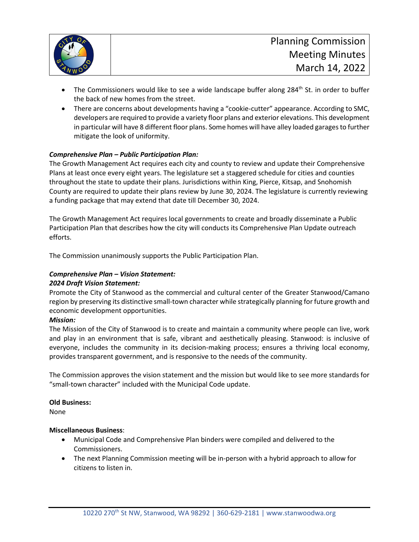

- The Commissioners would like to see a wide landscape buffer along 284<sup>th</sup> St. in order to buffer the back of new homes from the street.
- There are concerns about developments having a "cookie-cutter" appearance. According to SMC, developers are required to provide a variety floor plans and exterior elevations. This development in particular will have 8 different floor plans. Some homes will have alley loaded garages to further mitigate the look of uniformity.

## *Comprehensive Plan – Public Participation Plan:*

The Growth Management Act requires each city and county to review and update their Comprehensive Plans at least once every eight years. The legislature set a staggered schedule for cities and counties throughout the state to update their plans. Jurisdictions within King, Pierce, Kitsap, and Snohomish County are required to update their plans review by June 30, 2024. The legislature is currently reviewing a funding package that may extend that date till December 30, 2024.

The Growth Management Act requires local governments to create and broadly disseminate a Public Participation Plan that describes how the city will conducts its Comprehensive Plan Update outreach efforts.

The Commission unanimously supports the Public Participation Plan.

# *Comprehensive Plan – Vision Statement:*

#### *2024 Draft Vision Statement:*

Promote the City of Stanwood as the commercial and cultural center of the Greater Stanwood/Camano region by preserving its distinctive small-town character while strategically planning for future growth and economic development opportunities.

#### *Mission:*

The Mission of the City of Stanwood is to create and maintain a community where people can live, work and play in an environment that is safe, vibrant and aesthetically pleasing. Stanwood: is inclusive of everyone, includes the community in its decision-making process; ensures a thriving local economy, provides transparent government, and is responsive to the needs of the community.

The Commission approves the vision statement and the mission but would like to see more standards for "small-town character" included with the Municipal Code update.

#### **Old Business:**

None

#### **Miscellaneous Business**:

- Municipal Code and Comprehensive Plan binders were compiled and delivered to the Commissioners.
- The next Planning Commission meeting will be in-person with a hybrid approach to allow for citizens to listen in.